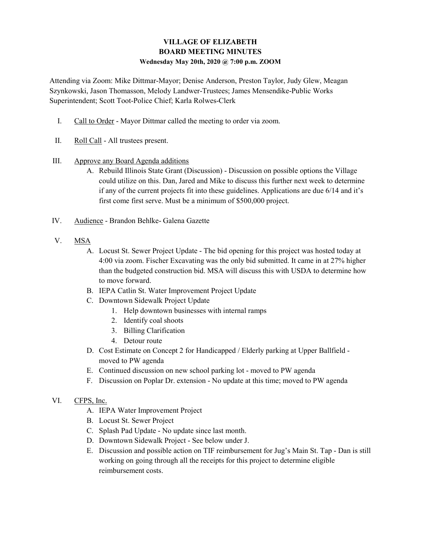## VILLAGE OF ELIZABETH BOARD MEETING MINUTES Wednesday May 20th, 2020 @ 7:00 p.m. ZOOM

Attending via Zoom: Mike Dittmar-Mayor; Denise Anderson, Preston Taylor, Judy Glew, Meagan Szynkowski, Jason Thomasson, Melody Landwer-Trustees; James Mensendike-Public Works Superintendent; Scott Toot-Police Chief; Karla Rolwes-Clerk

- I. Call to Order Mayor Dittmar called the meeting to order via zoom.
- II. Roll Call All trustees present.
- III. Approve any Board Agenda additions
	- A. Rebuild Illinois State Grant (Discussion) Discussion on possible options the Village could utilize on this. Dan, Jared and Mike to discuss this further next week to determine if any of the current projects fit into these guidelines. Applications are due 6/14 and it's first come first serve. Must be a minimum of \$500,000 project.
- IV. Audience Brandon Behlke- Galena Gazette
- V. MSA
	- A. Locust St. Sewer Project Update The bid opening for this project was hosted today at 4:00 via zoom. Fischer Excavating was the only bid submitted. It came in at 27% higher than the budgeted construction bid. MSA will discuss this with USDA to determine how to move forward.
	- B. IEPA Catlin St. Water Improvement Project Update
	- C. Downtown Sidewalk Project Update
		- 1. Help downtown businesses with internal ramps
		- 2. Identify coal shoots
		- 3. Billing Clarification
		- 4. Detour route
	- D. Cost Estimate on Concept 2 for Handicapped / Elderly parking at Upper Ballfield moved to PW agenda
	- E. Continued discussion on new school parking lot moved to PW agenda
	- F. Discussion on Poplar Dr. extension No update at this time; moved to PW agenda
- VI. CFPS, Inc.
	- A. IEPA Water Improvement Project
	- B. Locust St. Sewer Project
	- C. Splash Pad Update No update since last month.
	- D. Downtown Sidewalk Project See below under J.
	- E. Discussion and possible action on TIF reimbursement for Jug's Main St. Tap Dan is still working on going through all the receipts for this project to determine eligible reimbursement costs.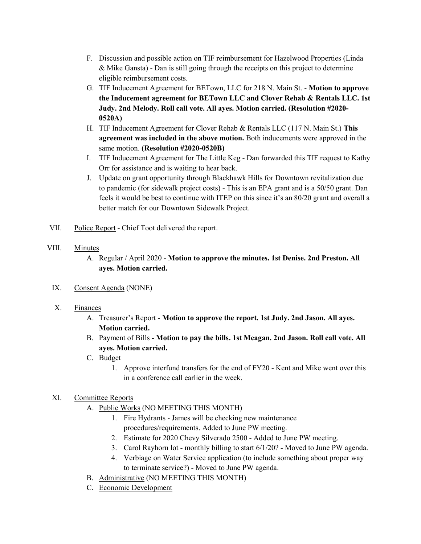- F. Discussion and possible action on TIF reimbursement for Hazelwood Properties (Linda & Mike Gansta) - Dan is still going through the receipts on this project to determine eligible reimbursement costs.
- G. TIF Inducement Agreement for BETown, LLC for 218 N. Main St. Motion to approve the Inducement agreement for BETown LLC and Clover Rehab & Rentals LLC. 1st Judy. 2nd Melody. Roll call vote. All ayes. Motion carried. (Resolution #2020- 0520A)
- H. TIF Inducement Agreement for Clover Rehab & Rentals LLC (117 N. Main St.) This agreement was included in the above motion. Both inducements were approved in the same motion. (Resolution #2020-0520B)
- I. TIF Inducement Agreement for The Little Keg Dan forwarded this TIF request to Kathy Orr for assistance and is waiting to hear back.
- J. Update on grant opportunity through Blackhawk Hills for Downtown revitalization due to pandemic (for sidewalk project costs) - This is an EPA grant and is a 50/50 grant. Dan feels it would be best to continue with ITEP on this since it's an 80/20 grant and overall a better match for our Downtown Sidewalk Project.
- VII. Police Report Chief Toot delivered the report.
- VIII. Minutes
	- A. Regular / April 2020 Motion to approve the minutes. 1st Denise. 2nd Preston. All ayes. Motion carried.
	- IX. Consent Agenda (NONE)
	- X. Finances
		- A. Treasurer's Report Motion to approve the report. 1st Judy. 2nd Jason. All ayes. Motion carried.
		- B. Payment of Bills Motion to pay the bills. 1st Meagan. 2nd Jason. Roll call vote. All ayes. Motion carried.
		- C. Budget
			- 1. Approve interfund transfers for the end of FY20 Kent and Mike went over this in a conference call earlier in the week.

## XI. Committee Reports

- A. Public Works (NO MEETING THIS MONTH)
	- 1. Fire Hydrants James will be checking new maintenance procedures/requirements. Added to June PW meeting.
	- 2. Estimate for 2020 Chevy Silverado 2500 Added to June PW meeting.
	- 3. Carol Rayhorn lot monthly billing to start 6/1/20? Moved to June PW agenda.
	- 4. Verbiage on Water Service application (to include something about proper way to terminate service?) - Moved to June PW agenda.
- B. Administrative (NO MEETING THIS MONTH)
- C. Economic Development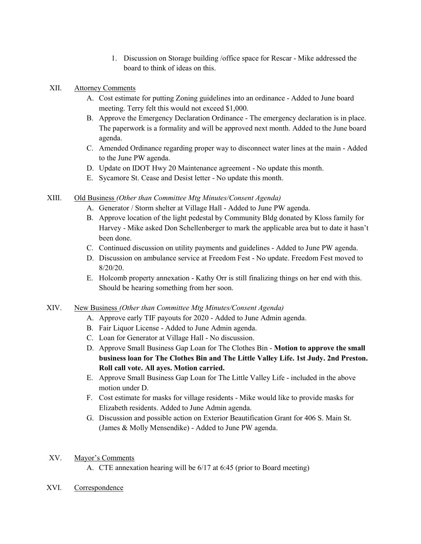1. Discussion on Storage building /office space for Rescar - Mike addressed the board to think of ideas on this.

## XII. Attorney Comments

- A. Cost estimate for putting Zoning guidelines into an ordinance Added to June board meeting. Terry felt this would not exceed \$1,000.
- B. Approve the Emergency Declaration Ordinance The emergency declaration is in place. The paperwork is a formality and will be approved next month. Added to the June board agenda.
- C. Amended Ordinance regarding proper way to disconnect water lines at the main Added to the June PW agenda.
- D. Update on IDOT Hwy 20 Maintenance agreement No update this month.
- E. Sycamore St. Cease and Desist letter No update this month.

## XIII. Old Business (Other than Committee Mtg Minutes/Consent Agenda)

- A. Generator / Storm shelter at Village Hall Added to June PW agenda.
- B. Approve location of the light pedestal by Community Bldg donated by Kloss family for Harvey - Mike asked Don Schellenberger to mark the applicable area but to date it hasn't been done.
- C. Continued discussion on utility payments and guidelines Added to June PW agenda.
- D. Discussion on ambulance service at Freedom Fest No update. Freedom Fest moved to 8/20/20.
- E. Holcomb property annexation Kathy Orr is still finalizing things on her end with this. Should be hearing something from her soon.
- XIV. New Business (Other than Committee Mtg Minutes/Consent Agenda)
	- A. Approve early TIF payouts for 2020 Added to June Admin agenda.
	- B. Fair Liquor License Added to June Admin agenda.
	- C. Loan for Generator at Village Hall No discussion.
	- D. Approve Small Business Gap Loan for The Clothes Bin Motion to approve the small business loan for The Clothes Bin and The Little Valley Life. 1st Judy. 2nd Preston. Roll call vote. All ayes. Motion carried.
	- E. Approve Small Business Gap Loan for The Little Valley Life included in the above motion under D.
	- F. Cost estimate for masks for village residents Mike would like to provide masks for Elizabeth residents. Added to June Admin agenda.
	- G. Discussion and possible action on Exterior Beautification Grant for 406 S. Main St. (James & Molly Mensendike) - Added to June PW agenda.
- XV. Mayor's Comments
	- A. CTE annexation hearing will be 6/17 at 6:45 (prior to Board meeting)
- XVI. Correspondence